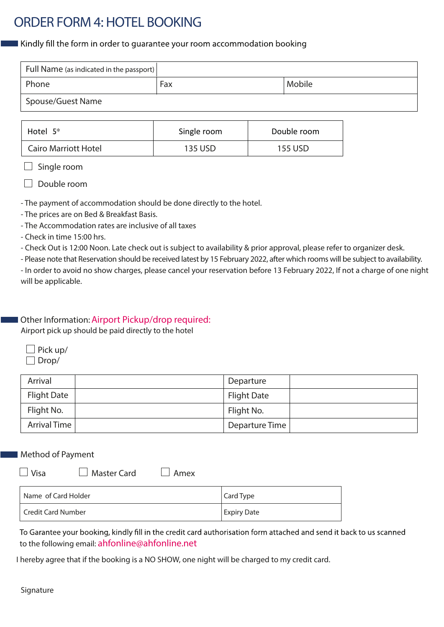# ORDER FORM 4:HOTEL BOOKING

Kindly fill the form in order to guarantee your room accommodation booking

| Full Name (as indicated in the passport) |     |        |
|------------------------------------------|-----|--------|
| Phone                                    | Fax | Mobile |
| Spouse/Guest Name                        |     |        |

| Hotel $5^*$                 | Single room | Double room |
|-----------------------------|-------------|-------------|
| <b>Cairo Marriott Hotel</b> | 135 USD     | 155 USD     |

 $\Box$  Single room

 $\Box$  Double room

- The payment of accommodation should be done directly to the hotel.

- The prices are on Bed & Breakfast Basis.
- The Accommodation rates are inclusive of all taxes
- Check in time 15:00 hrs.

- Check Out is 12:00 Noon. Late check out is subject to availability & prior approval, please refer to organizer desk.

- Please note that Reservation should be received latest by 15 February 2022, after which rooms will be subject to availability.

- In order to avoid no show charges, please cancel your reservation before 13 February 2022, If not a charge of one night will be applicable.

Other Information: Airport Pickup/drop required:

Airport pick up should be paid directly to the hotel

| $\Box$ Pick up/ |
|-----------------|
| $\Box$ Drop/    |

| Arrival             | Departure          |  |
|---------------------|--------------------|--|
| <b>Flight Date</b>  | <b>Flight Date</b> |  |
| Flight No.          | Flight No.         |  |
| <b>Arrival Time</b> | Departure Time     |  |

## Method of Payment

| $\Box$ Visa | $\Box$ Master Card | $\Box$ Amex |
|-------------|--------------------|-------------|
|             |                    |             |

| Name of Card Holder | Card Type          |
|---------------------|--------------------|
| Credit Card Number  | <b>Expiry Date</b> |

To Garantee your booking, kindly fill in the credit card authorisation form attached and send it back to us scanned to the following email: ahfonline@ahfonline.net

I hereby agree that if the booking is a NO SHOW, one night will be charged to my credit card.

## Signature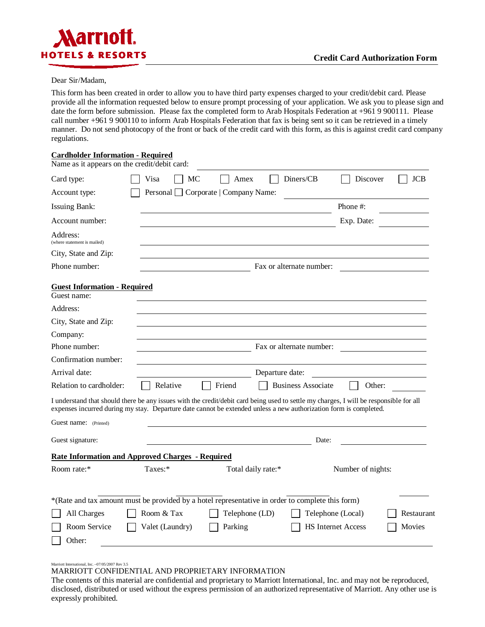

### Dear Sir/Madam,

This form has been created in order to allow you to have third party expenses charged to your credit/debit card. Please provide all the information requested below to ensure prompt processing of your application. We ask you to please sign and date the form before submission. Please fax the completed form to Arab Hospitals Federation at +961 9 900111. Please call number +961 9 900110 to inform Arab Hospitals Federation that fax is being sent so it can be retrieved in a timely manner. Do not send photocopy of the front or back of the credit card with this form, as this is against credit card company regulations.

#### **Cardholder Information - Required**

| Name as it appears on the credit/debit card:            |                 |                                                                                                                   |                                                                                                                                        |
|---------------------------------------------------------|-----------------|-------------------------------------------------------------------------------------------------------------------|----------------------------------------------------------------------------------------------------------------------------------------|
| Card type:                                              | Visa            | Diners/CB<br>МC<br>Amex                                                                                           | Discover<br><b>JCB</b>                                                                                                                 |
| Account type:                                           |                 | Personal Corporate   Company Name:                                                                                |                                                                                                                                        |
| <b>Issuing Bank:</b>                                    |                 |                                                                                                                   | Phone #:                                                                                                                               |
| Account number:                                         |                 |                                                                                                                   | Exp. Date:                                                                                                                             |
| Address:<br>(where statement is mailed)                 |                 |                                                                                                                   |                                                                                                                                        |
| City, State and Zip:                                    |                 |                                                                                                                   |                                                                                                                                        |
| Phone number:                                           |                 | Fax or alternate number:                                                                                          |                                                                                                                                        |
| <b>Guest Information - Required</b>                     |                 |                                                                                                                   |                                                                                                                                        |
| Guest name:                                             |                 |                                                                                                                   |                                                                                                                                        |
| Address:                                                |                 |                                                                                                                   |                                                                                                                                        |
| City, State and Zip:                                    |                 |                                                                                                                   |                                                                                                                                        |
| Company:                                                |                 |                                                                                                                   |                                                                                                                                        |
| Phone number:                                           |                 | Fax or alternate number:                                                                                          |                                                                                                                                        |
| Confirmation number:                                    |                 |                                                                                                                   |                                                                                                                                        |
| Arrival date:                                           |                 | Departure date:                                                                                                   |                                                                                                                                        |
| Relation to cardholder:                                 | Relative        | <b>Business Associate</b><br>Friend                                                                               | Other:                                                                                                                                 |
|                                                         |                 | expenses incurred during my stay. Departure date cannot be extended unless a new authorization form is completed. | I understand that should there be any issues with the credit/debit card being used to settle my charges, I will be responsible for all |
| Guest name: (Printed)                                   |                 |                                                                                                                   |                                                                                                                                        |
| Guest signature:                                        |                 |                                                                                                                   | Date:                                                                                                                                  |
| <b>Rate Information and Approved Charges - Required</b> |                 |                                                                                                                   |                                                                                                                                        |
| Room rate:*                                             | Taxes:*         | Total daily rate:*                                                                                                | Number of nights:                                                                                                                      |
|                                                         |                 | *(Rate and tax amount must be provided by a hotel representative in order to complete this form)                  |                                                                                                                                        |
| All Charges                                             | Room & Tax      | Telephone (LD)                                                                                                    | Telephone (Local)<br>Restaurant                                                                                                        |
| Room Service                                            | Valet (Laundry) | Parking                                                                                                           | <b>HS Internet Access</b><br>Movies                                                                                                    |
| Other:                                                  |                 |                                                                                                                   |                                                                                                                                        |

Marriott International, Inc. –07/05/2007 Rev 3.5

MARRIOTT CONFIDENTIAL AND PROPRIETARY INFORMATION

The contents of this material are confidential and proprietary to Marriott International, Inc. and may not be reproduced, disclosed, distributed or used without the express permission of an authorized representative of Marriott. Any other use is expressly prohibited.